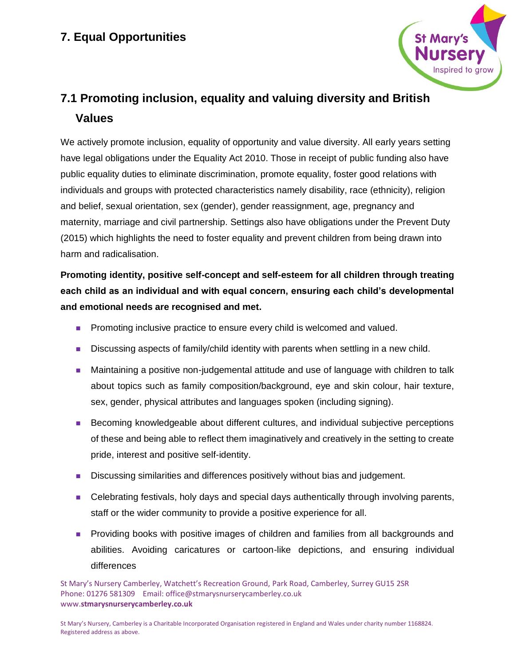

# **7.1 Promoting inclusion, equality and valuing diversity and British Values**

We actively promote inclusion, equality of opportunity and value diversity. All early years setting have legal obligations under the Equality Act 2010. Those in receipt of public funding also have public equality duties to eliminate discrimination, promote equality, foster good relations with individuals and groups with protected characteristics namely disability, race (ethnicity), religion and belief, sexual orientation, sex (gender), gender reassignment, age, pregnancy and maternity, marriage and civil partnership. Settings also have obligations under the Prevent Duty (2015) which highlights the need to foster equality and prevent children from being drawn into harm and radicalisation.

**Promoting identity, positive self-concept and self-esteem for all children through treating each child as an individual and with equal concern, ensuring each child's developmental and emotional needs are recognised and met.**

- Promoting inclusive practice to ensure every child is welcomed and valued.
- Discussing aspects of family/child identity with parents when settling in a new child.
- Maintaining a positive non-judgemental attitude and use of language with children to talk about topics such as family composition/background, eye and skin colour, hair texture, sex, gender, physical attributes and languages spoken (including signing).
- Becoming knowledgeable about different cultures, and individual subjective perceptions of these and being able to reflect them imaginatively and creatively in the setting to create pride, interest and positive self-identity.
- Discussing similarities and differences positively without bias and judgement.
- Celebrating festivals, holy days and special days authentically through involving parents, staff or the wider community to provide a positive experience for all.
- Providing books with positive images of children and families from all backgrounds and abilities. Avoiding caricatures or cartoon-like depictions, and ensuring individual differences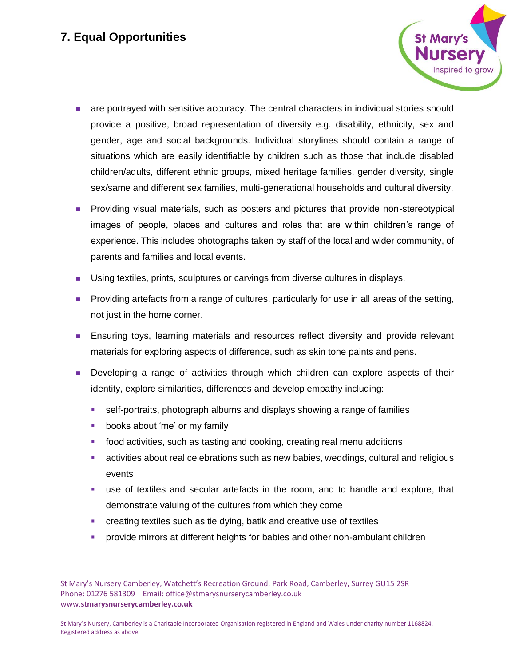

- ◼ are portrayed with sensitive accuracy. The central characters in individual stories should provide a positive, broad representation of diversity e.g. disability, ethnicity, sex and gender, age and social backgrounds. Individual storylines should contain a range of situations which are easily identifiable by children such as those that include disabled children/adults, different ethnic groups, mixed heritage families, gender diversity, single sex/same and different sex families, multi-generational households and cultural diversity.
- Providing visual materials, such as posters and pictures that provide non-stereotypical images of people, places and cultures and roles that are within children's range of experience. This includes photographs taken by staff of the local and wider community, of parents and families and local events.
- Using textiles, prints, sculptures or carvings from diverse cultures in displays.
- Providing artefacts from a range of cultures, particularly for use in all areas of the setting, not just in the home corner.
- Ensuring toys, learning materials and resources reflect diversity and provide relevant materials for exploring aspects of difference, such as skin tone paints and pens.
- Developing a range of activities through which children can explore aspects of their identity, explore similarities, differences and develop empathy including:
	- **EXECT** self-portraits, photograph albums and displays showing a range of families
	- books about 'me' or my family
	- food activities, such as tasting and cooking, creating real menu additions
	- **EXECT** activities about real celebrations such as new babies, weddings, cultural and religious events
	- **EXECT** use of textiles and secular artefacts in the room, and to handle and explore, that demonstrate valuing of the cultures from which they come
	- creating textiles such as tie dying, batik and creative use of textiles
	- provide mirrors at different heights for babies and other non-ambulant children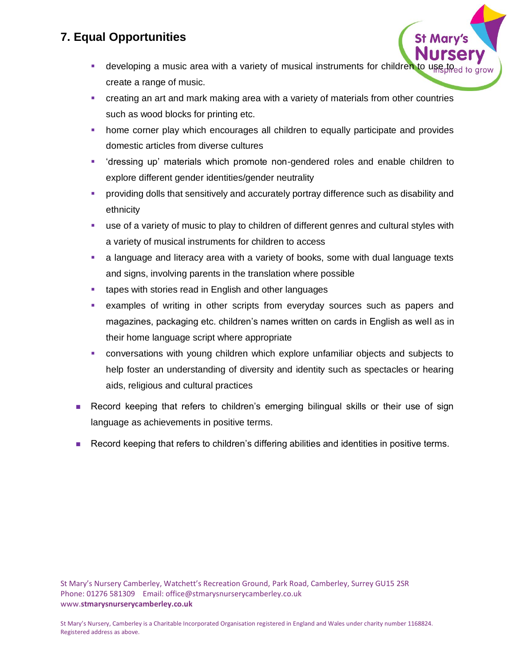- **E** developing a music area with a variety of musical instruments for children to use create a range of music.
- **•** creating an art and mark making area with a variety of materials from other countries such as wood blocks for printing etc.
- **home corner play which encourages all children to equally participate and provides** domestic articles from diverse cultures
- 'dressing up' materials which promote non-gendered roles and enable children to explore different gender identities/gender neutrality
- **•** providing dolls that sensitively and accurately portray difference such as disability and ethnicity
- use of a variety of music to play to children of different genres and cultural styles with a variety of musical instruments for children to access
- **EXT** a language and literacy area with a variety of books, some with dual language texts and signs, involving parents in the translation where possible
- tapes with stories read in English and other languages
- **•** examples of writing in other scripts from everyday sources such as papers and magazines, packaging etc. children's names written on cards in English as well as in their home language script where appropriate
- conversations with young children which explore unfamiliar objects and subjects to help foster an understanding of diversity and identity such as spectacles or hearing aids, religious and cultural practices
- Record keeping that refers to children's emerging bilingual skills or their use of sign language as achievements in positive terms.
- Record keeping that refers to children's differing abilities and identities in positive terms.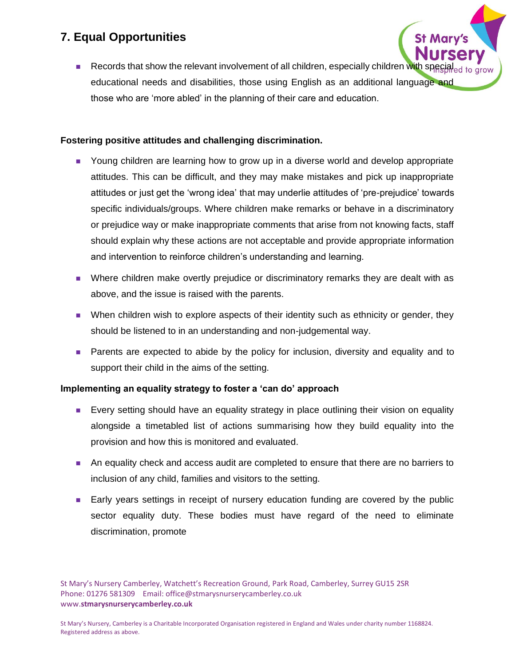■ Records that show the relevant involvement of all children, especially children with spe educational needs and disabilities, those using English as an additional language and those who are 'more abled' in the planning of their care and education.

#### **Fostering positive attitudes and challenging discrimination.**

- Young children are learning how to grow up in a diverse world and develop appropriate attitudes. This can be difficult, and they may make mistakes and pick up inappropriate attitudes or just get the 'wrong idea' that may underlie attitudes of 'pre-prejudice' towards specific individuals/groups. Where children make remarks or behave in a discriminatory or prejudice way or make inappropriate comments that arise from not knowing facts, staff should explain why these actions are not acceptable and provide appropriate information and intervention to reinforce children's understanding and learning.
- Where children make overtly prejudice or discriminatory remarks they are dealt with as above, and the issue is raised with the parents.
- When children wish to explore aspects of their identity such as ethnicity or gender, they should be listened to in an understanding and non-judgemental way.
- Parents are expected to abide by the policy for inclusion, diversity and equality and to support their child in the aims of the setting.

### **Implementing an equality strategy to foster a 'can do' approach**

- Every setting should have an equality strategy in place outlining their vision on equality alongside a timetabled list of actions summarising how they build equality into the provision and how this is monitored and evaluated.
- An equality check and access audit are completed to ensure that there are no barriers to inclusion of any child, families and visitors to the setting.
- Early years settings in receipt of nursery education funding are covered by the public sector equality duty. These bodies must have regard of the need to eliminate discrimination, promote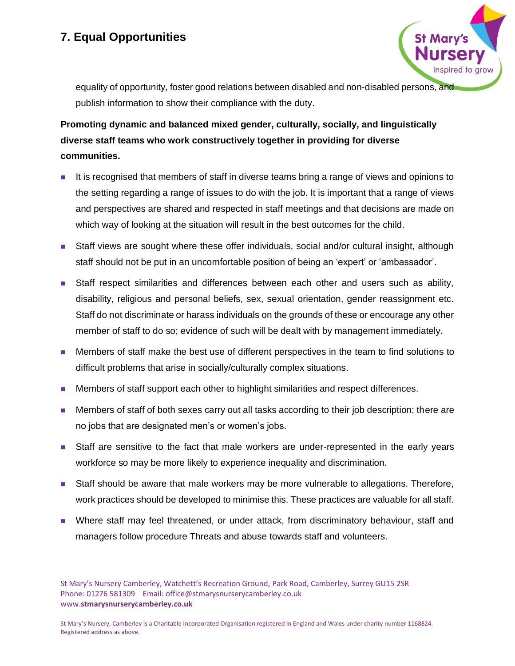

equality of opportunity, foster good relations between disabled and non-disabled persons, and publish information to show their compliance with the duty.

# **Promoting dynamic and balanced mixed gender, culturally, socially, and linguistically diverse staff teams who work constructively together in providing for diverse communities.**

- ◼ It is recognised that members of staff in diverse teams bring a range of views and opinions to the setting regarding a range of issues to do with the job. It is important that a range of views and perspectives are shared and respected in staff meetings and that decisions are made on which way of looking at the situation will result in the best outcomes for the child.
- Staff views are sought where these offer individuals, social and/or cultural insight, although staff should not be put in an uncomfortable position of being an 'expert' or 'ambassador'.
- Staff respect similarities and differences between each other and users such as ability, disability, religious and personal beliefs, sex, sexual orientation, gender reassignment etc. Staff do not discriminate or harass individuals on the grounds of these or encourage any other member of staff to do so; evidence of such will be dealt with by management immediately.
- Members of staff make the best use of different perspectives in the team to find solutions to difficult problems that arise in socially/culturally complex situations.
- Members of staff support each other to highlight similarities and respect differences.
- Members of staff of both sexes carry out all tasks according to their job description; there are no jobs that are designated men's or women's jobs.
- Staff are sensitive to the fact that male workers are under-represented in the early years workforce so may be more likely to experience inequality and discrimination.
- Staff should be aware that male workers may be more vulnerable to allegations. Therefore, work practices should be developed to minimise this. These practices are valuable for all staff.
- Where staff may feel threatened, or under attack, from discriminatory behaviour, staff and managers follow procedure Threats and abuse towards staff and volunteers.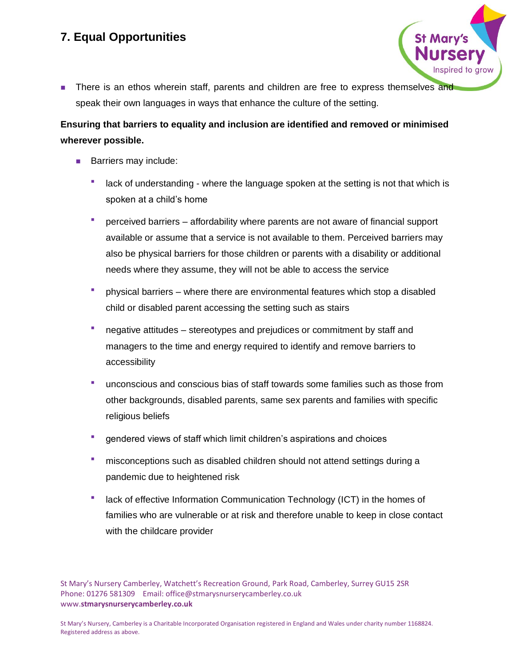- St Mary'
- There is an ethos wherein staff, parents and children are free to express themselves and speak their own languages in ways that enhance the culture of the setting.

### **Ensuring that barriers to equality and inclusion are identified and removed or minimised wherever possible.**

- Barriers may include:
	- lack of understanding where the language spoken at the setting is not that which is spoken at a child's home
	- perceived barriers affordability where parents are not aware of financial support available or assume that a service is not available to them. Perceived barriers may also be physical barriers for those children or parents with a disability or additional needs where they assume, they will not be able to access the service
	- physical barriers where there are environmental features which stop a disabled child or disabled parent accessing the setting such as stairs
	- negative attitudes stereotypes and prejudices or commitment by staff and managers to the time and energy required to identify and remove barriers to accessibility
	- unconscious and conscious bias of staff towards some families such as those from other backgrounds, disabled parents, same sex parents and families with specific religious beliefs
	- gendered views of staff which limit children's aspirations and choices
	- misconceptions such as disabled children should not attend settings during a pandemic due to heightened risk
	- **■** lack of effective Information Communication Technology (ICT) in the homes of families who are vulnerable or at risk and therefore unable to keep in close contact with the childcare provider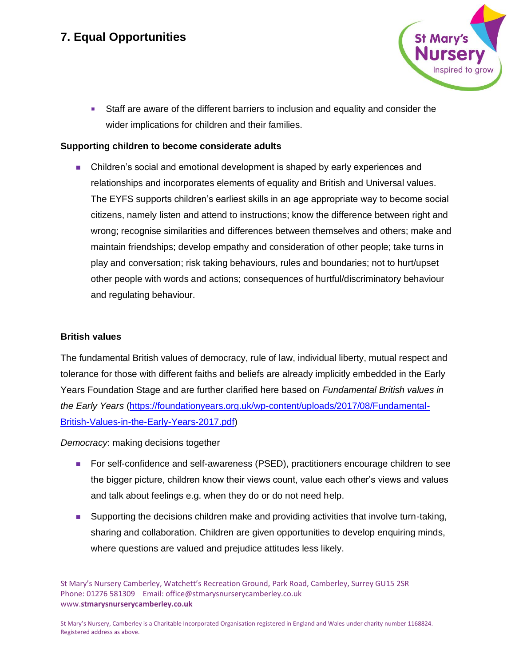

**EXECT** Staff are aware of the different barriers to inclusion and equality and consider the wider implications for children and their families.

#### **Supporting children to become considerate adults**

■ Children's social and emotional development is shaped by early experiences and relationships and incorporates elements of equality and British and Universal values. The EYFS supports children's earliest skills in an age appropriate way to become social citizens, namely listen and attend to instructions; know the difference between right and wrong; recognise similarities and differences between themselves and others; make and maintain friendships; develop empathy and consideration of other people; take turns in play and conversation; risk taking behaviours, rules and boundaries; not to hurt/upset other people with words and actions; consequences of hurtful/discriminatory behaviour and regulating behaviour.

#### **British values**

The fundamental British values of democracy, rule of law, individual liberty, mutual respect and tolerance for those with different faiths and beliefs are already implicitly embedded in the Early Years Foundation Stage and are further clarified here based on *Fundamental British values in the Early Years* [\(https://foundationyears.org.uk/wp-content/uploads/2017/08/Fundamental-](https://foundationyears.org.uk/wp-content/uploads/2017/08/Fundamental-British-Values-in-the-Early-Years-2017.pdf)[British-Values-in-the-Early-Years-2017.pdf\)](https://foundationyears.org.uk/wp-content/uploads/2017/08/Fundamental-British-Values-in-the-Early-Years-2017.pdf)

*Democracy*: making decisions together

- For self-confidence and self-awareness (PSED), practitioners encourage children to see the bigger picture, children know their views count, value each other's views and values and talk about feelings e.g. when they do or do not need help.
- Supporting the decisions children make and providing activities that involve turn-taking, sharing and collaboration. Children are given opportunities to develop enquiring minds, where questions are valued and prejudice attitudes less likely.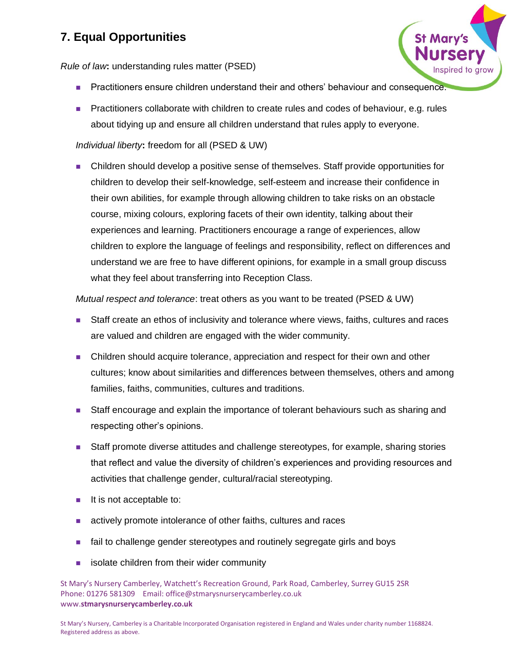*Rule of law***:** understanding rules matter (PSED)

■ Practitioners ensure children understand their and others' behaviour and consequence.

**St Mary** 

■ Practitioners collaborate with children to create rules and codes of behaviour, e.g. rules about tidying up and ensure all children understand that rules apply to everyone.

### *Individual liberty***:** freedom for all (PSED & UW)

■ Children should develop a positive sense of themselves. Staff provide opportunities for children to develop their self-knowledge, self-esteem and increase their confidence in their own abilities, for example through allowing children to take risks on an obstacle course, mixing colours, exploring facets of their own identity, talking about their experiences and learning. Practitioners encourage a range of experiences, allow children to explore the language of feelings and responsibility, reflect on differences and understand we are free to have different opinions, for example in a small group discuss what they feel about transferring into Reception Class.

*Mutual respect and tolerance*: treat others as you want to be treated (PSED & UW)

- Staff create an ethos of inclusivity and tolerance where views, faiths, cultures and races are valued and children are engaged with the wider community.
- Children should acquire tolerance, appreciation and respect for their own and other cultures; know about similarities and differences between themselves, others and among families, faiths, communities, cultures and traditions.
- Staff encourage and explain the importance of tolerant behaviours such as sharing and respecting other's opinions.
- Staff promote diverse attitudes and challenge stereotypes, for example, sharing stories that reflect and value the diversity of children's experiences and providing resources and activities that challenge gender, cultural/racial stereotyping.
- It is not acceptable to:
- actively promote intolerance of other faiths, cultures and races
- fail to challenge gender stereotypes and routinely segregate girls and boys
- isolate children from their wider community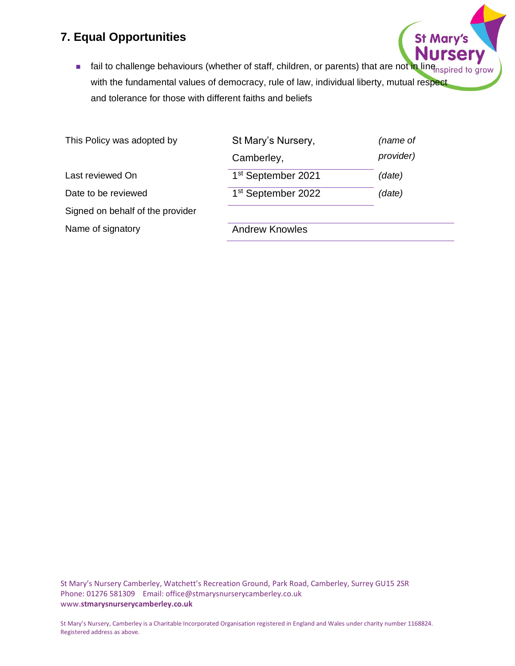■ fail to challenge behaviours (whether of staff, children, or parents) that are not in line<sub>nspired</sub> to grow with the fundamental values of democracy, rule of law, individual liberty, mutual respect and tolerance for those with different faiths and beliefs

**St Mary's** 

| This Policy was adopted by       | St Mary's Nursery,             | (name of  |
|----------------------------------|--------------------------------|-----------|
|                                  | Camberley,                     | provider) |
| Last reviewed On                 | 1 <sup>st</sup> September 2021 | (date)    |
| Date to be reviewed              | 1 <sup>st</sup> September 2022 | (date)    |
| Signed on behalf of the provider |                                |           |
| Name of signatory                | <b>Andrew Knowles</b>          |           |
|                                  |                                |           |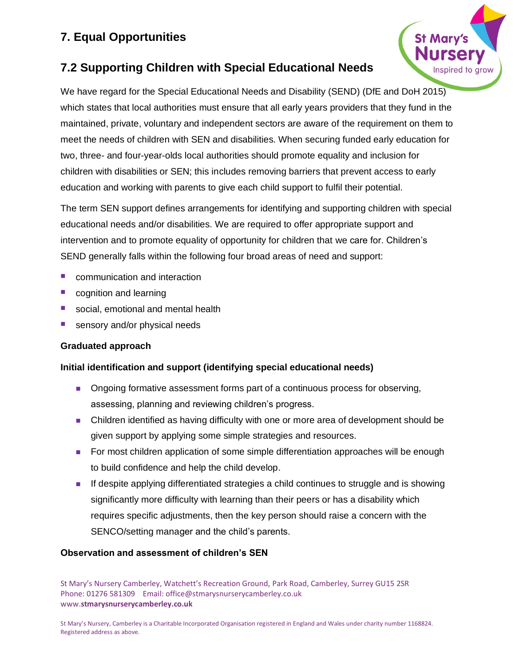

# **7.2 Supporting Children with Special Educational Needs**

We have regard for the Special Educational Needs and Disability (SEND) (DfE and DoH 2015) which states that local authorities must ensure that all early years providers that they fund in the maintained, private, voluntary and independent sectors are aware of the requirement on them to meet the needs of children with SEN and disabilities. When securing funded early education for two, three- and four-year-olds local authorities should promote equality and inclusion for children with disabilities or SEN; this includes removing barriers that prevent access to early education and working with parents to give each child support to fulfil their potential.

The term SEN support defines arrangements for identifying and supporting children with special educational needs and/or disabilities. We are required to offer appropriate support and intervention and to promote equality of opportunity for children that we care for. Children's SEND generally falls within the following four broad areas of need and support:

- communication and interaction
- cognition and learning
- social, emotional and mental health
- sensory and/or physical needs

### **Graduated approach**

### **Initial identification and support (identifying special educational needs)**

- Ongoing formative assessment forms part of a continuous process for observing, assessing, planning and reviewing children's progress.
- Children identified as having difficulty with one or more area of development should be given support by applying some simple strategies and resources.
- For most children application of some simple differentiation approaches will be enough to build confidence and help the child develop.
- If despite applying differentiated strategies a child continues to struggle and is showing significantly more difficulty with learning than their peers or has a disability which requires specific adjustments, then the key person should raise a concern with the SENCO/setting manager and the child's parents.

### **Observation and assessment of children's SEN**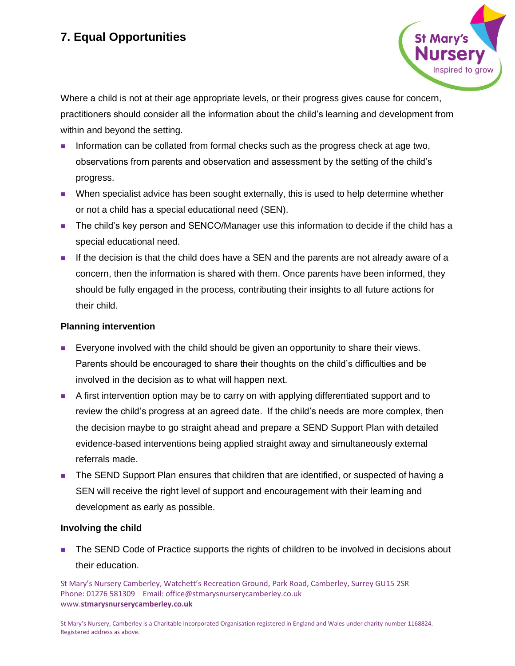

Where a child is not at their age appropriate levels, or their progress gives cause for concern, practitioners should consider all the information about the child's learning and development from within and beyond the setting.

- Information can be collated from formal checks such as the progress check at age two, observations from parents and observation and assessment by the setting of the child's progress.
- When specialist advice has been sought externally, this is used to help determine whether or not a child has a special educational need (SEN).
- The child's key person and SENCO/Manager use this information to decide if the child has a special educational need.
- If the decision is that the child does have a SEN and the parents are not already aware of a concern, then the information is shared with them. Once parents have been informed, they should be fully engaged in the process, contributing their insights to all future actions for their child.

### **Planning intervention**

- Everyone involved with the child should be given an opportunity to share their views. Parents should be encouraged to share their thoughts on the child's difficulties and be involved in the decision as to what will happen next.
- A first intervention option may be to carry on with applying differentiated support and to review the child's progress at an agreed date. If the child's needs are more complex, then the decision maybe to go straight ahead and prepare a SEND Support Plan with detailed evidence-based interventions being applied straight away and simultaneously external referrals made.
- The SEND Support Plan ensures that children that are identified, or suspected of having a SEN will receive the right level of support and encouragement with their learning and development as early as possible.

#### **Involving the child**

■ The SEND Code of Practice supports the rights of children to be involved in decisions about their education.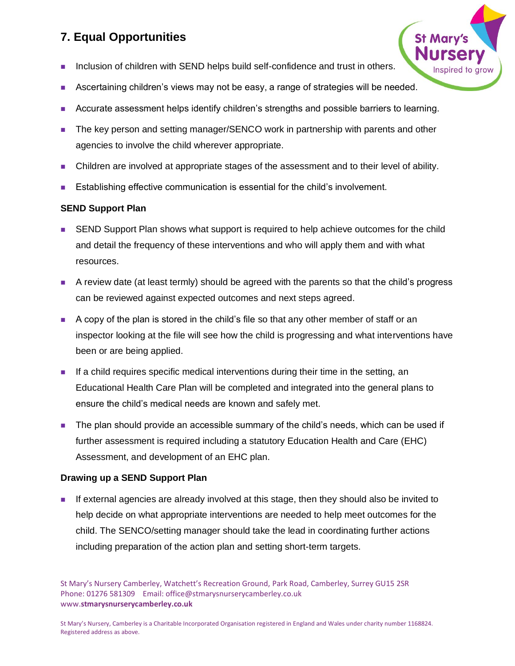- Inclusion of children with SEND helps build self-confidence and trust in others.
- Ascertaining children's views may not be easy, a range of strategies will be needed.
- Accurate assessment helps identify children's strengths and possible barriers to learning.
- The key person and setting manager/SENCO work in partnership with parents and other agencies to involve the child wherever appropriate.
- Children are involved at appropriate stages of the assessment and to their level of ability.
- Establishing effective communication is essential for the child's involvement.

### **SEND Support Plan**

- SEND Support Plan shows what support is required to help achieve outcomes for the child and detail the frequency of these interventions and who will apply them and with what resources.
- A review date (at least termly) should be agreed with the parents so that the child's progress can be reviewed against expected outcomes and next steps agreed.
- A copy of the plan is stored in the child's file so that any other member of staff or an inspector looking at the file will see how the child is progressing and what interventions have been or are being applied.
- If a child requires specific medical interventions during their time in the setting, an Educational Health Care Plan will be completed and integrated into the general plans to ensure the child's medical needs are known and safely met.
- The plan should provide an accessible summary of the child's needs, which can be used if further assessment is required including a statutory Education Health and Care (EHC) Assessment, and development of an EHC plan.

### **Drawing up a SEND Support Plan**

■ If external agencies are already involved at this stage, then they should also be invited to help decide on what appropriate interventions are needed to help meet outcomes for the child. The SENCO/setting manager should take the lead in coordinating further actions including preparation of the action plan and setting short-term targets.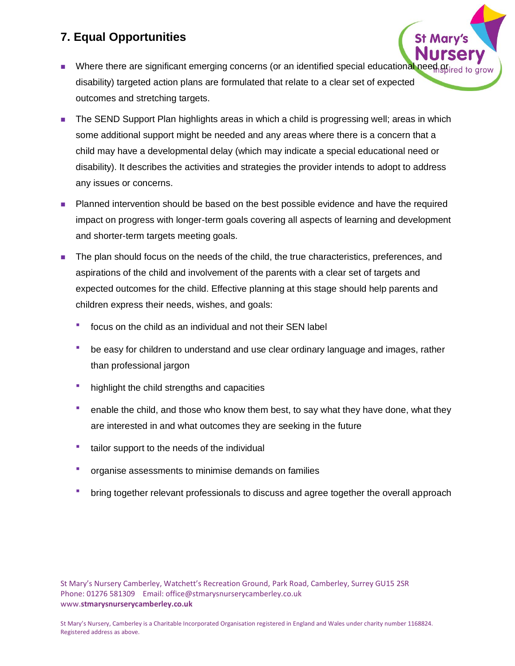- Where there are significant emerging concerns (or an identified special educational need disability) targeted action plans are formulated that relate to a clear set of expected outcomes and stretching targets.
- The SEND Support Plan highlights areas in which a child is progressing well; areas in which some additional support might be needed and any areas where there is a concern that a child may have a developmental delay (which may indicate a special educational need or disability). It describes the activities and strategies the provider intends to adopt to address any issues or concerns.
- Planned intervention should be based on the best possible evidence and have the required impact on progress with longer-term goals covering all aspects of learning and development and shorter-term targets meeting goals.
- The plan should focus on the needs of the child, the true characteristics, preferences, and aspirations of the child and involvement of the parents with a clear set of targets and expected outcomes for the child. Effective planning at this stage should help parents and children express their needs, wishes, and goals:
	- focus on the child as an individual and not their SEN label
	- be easy for children to understand and use clear ordinary language and images, rather than professional jargon
	- highlight the child strengths and capacities
	- enable the child, and those who know them best, to say what they have done, what they are interested in and what outcomes they are seeking in the future
	- tailor support to the needs of the individual
	- organise assessments to minimise demands on families
	- bring together relevant professionals to discuss and agree together the overall approach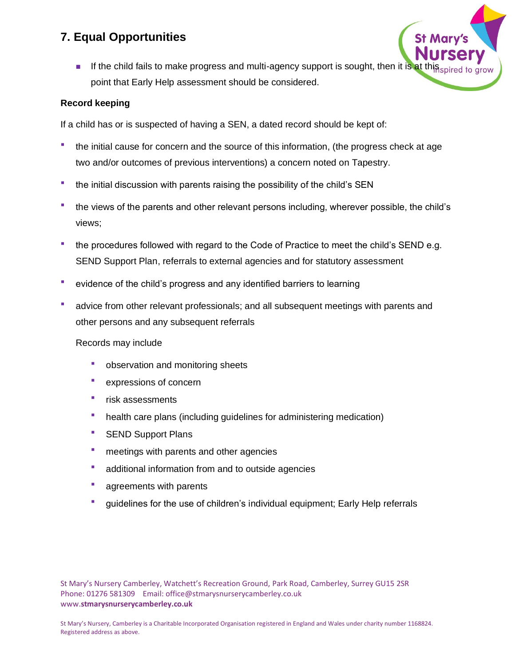**■** If the child fails to make progress and multi-agency support is sought, then it is at thi point that Early Help assessment should be considered.

#### **Record keeping**

If a child has or is suspected of having a SEN, a dated record should be kept of:

- the initial cause for concern and the source of this information, (the progress check at age two and/or outcomes of previous interventions) a concern noted on Tapestry.
- the initial discussion with parents raising the possibility of the child's SEN
- the views of the parents and other relevant persons including, wherever possible, the child's views;
- the procedures followed with regard to the Code of Practice to meet the child's SEND e.g. SEND Support Plan, referrals to external agencies and for statutory assessment
- evidence of the child's progress and any identified barriers to learning
- advice from other relevant professionals; and all subsequent meetings with parents and other persons and any subsequent referrals

#### Records may include

- **•** observation and monitoring sheets
- **expressions of concern**
- **·** risk assessments
- health care plans (including guidelines for administering medication)
- **EXEND Support Plans**
- **meetings with parents and other agencies**
- additional information from and to outside agencies
- **•** agreements with parents
- guidelines for the use of children's individual equipment; Early Help referrals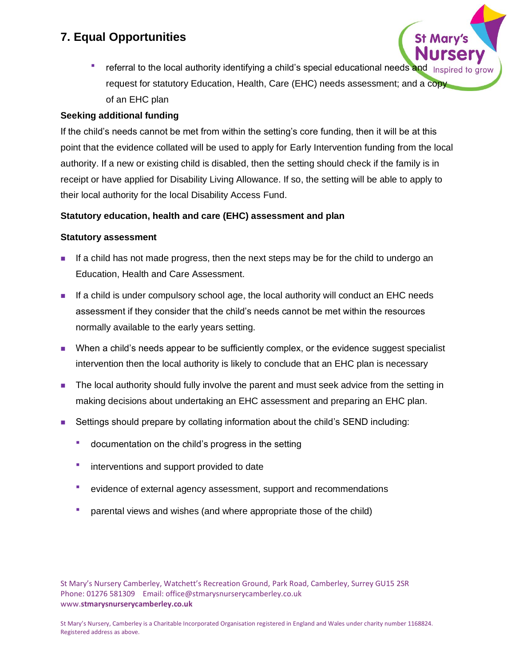referral to the local authority identifying a child's special educational needs and request for statutory Education, Health, Care (EHC) needs assessment; and a copy of an EHC plan

### **Seeking additional funding**

If the child's needs cannot be met from within the setting's core funding, then it will be at this point that the evidence collated will be used to apply for Early Intervention funding from the local authority. If a new or existing child is disabled, then the setting should check if the family is in receipt or have applied for Disability Living Allowance. If so, the setting will be able to apply to their local authority for the local Disability Access Fund.

### **Statutory education, health and care (EHC) assessment and plan**

### **Statutory assessment**

- If a child has not made progress, then the next steps may be for the child to undergo an Education, Health and Care Assessment.
- If a child is under compulsory school age, the local authority will conduct an EHC needs assessment if they consider that the child's needs cannot be met within the resources normally available to the early years setting.
- When a child's needs appear to be sufficiently complex, or the evidence suggest specialist intervention then the local authority is likely to conclude that an EHC plan is necessary
- The local authority should fully involve the parent and must seek advice from the setting in making decisions about undertaking an EHC assessment and preparing an EHC plan.
- Settings should prepare by collating information about the child's SEND including:
	- documentation on the child's progress in the setting
	- interventions and support provided to date
	- evidence of external agency assessment, support and recommendations
	- parental views and wishes (and where appropriate those of the child)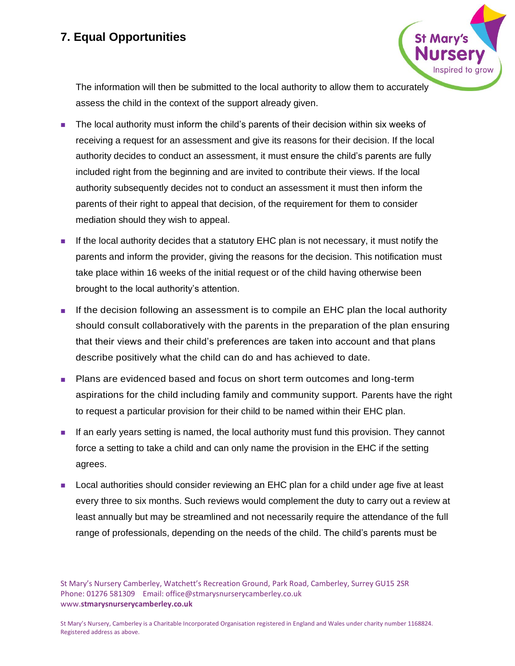The information will then be submitted to the local authority to allow them to accurately assess the child in the context of the support already given.

nspired to arow

- The local authority must inform the child's parents of their decision within six weeks of receiving a request for an assessment and give its reasons for their decision. If the local authority decides to conduct an assessment, it must ensure the child's parents are fully included right from the beginning and are invited to contribute their views. If the local authority subsequently decides not to conduct an assessment it must then inform the parents of their right to appeal that decision, of the requirement for them to consider mediation should they wish to appeal.
- If the local authority decides that a statutory EHC plan is not necessary, it must notify the parents and inform the provider, giving the reasons for the decision. This notification must take place within 16 weeks of the initial request or of the child having otherwise been brought to the local authority's attention.
- If the decision following an assessment is to compile an EHC plan the local authority should consult collaboratively with the parents in the preparation of the plan ensuring that their views and their child's preferences are taken into account and that plans describe positively what the child can do and has achieved to date.
- Plans are evidenced based and focus on short term outcomes and long-term aspirations for the child including family and community support. Parents have the right to request a particular provision for their child to be named within their EHC plan.
- If an early years setting is named, the local authority must fund this provision. They cannot force a setting to take a child and can only name the provision in the EHC if the setting agrees.
- Local authorities should consider reviewing an EHC plan for a child under age five at least every three to six months. Such reviews would complement the duty to carry out a review at least annually but may be streamlined and not necessarily require the attendance of the full range of professionals, depending on the needs of the child. The child's parents must be